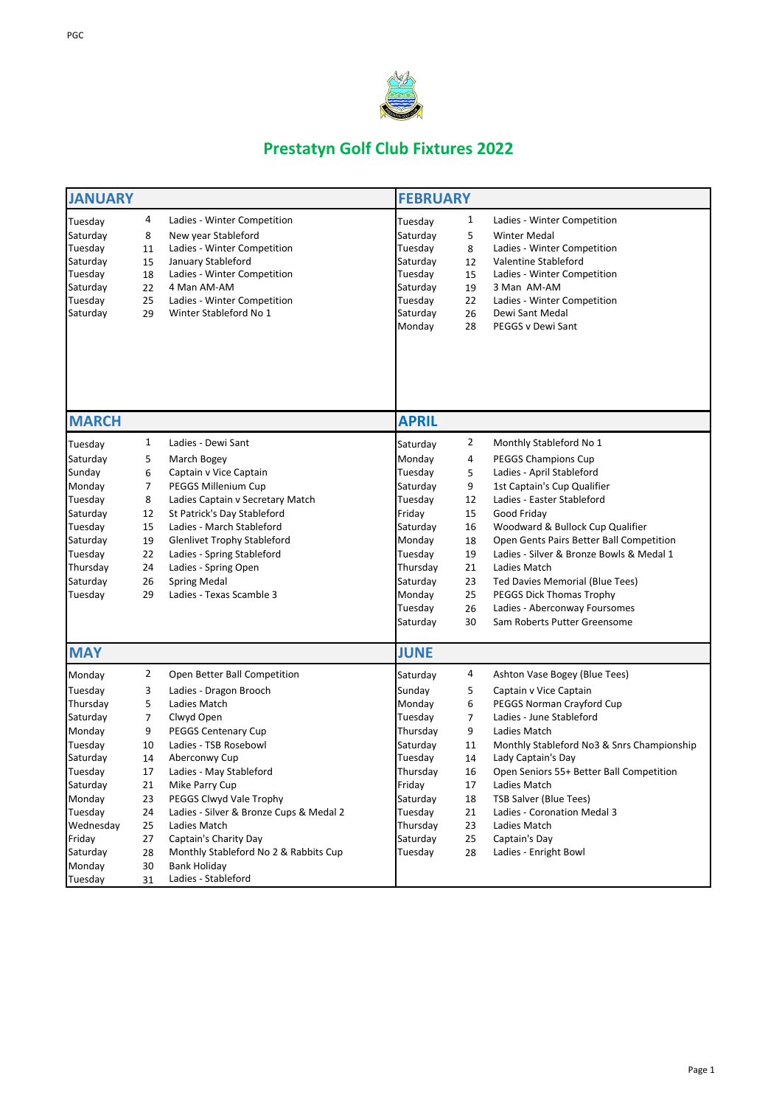| 1<br>4<br>Ladies - Winter Competition<br>Ladies - Winter Competition<br>Tuesday<br>Tuesday                                                                                                                                                                                                                                           |  |
|--------------------------------------------------------------------------------------------------------------------------------------------------------------------------------------------------------------------------------------------------------------------------------------------------------------------------------------|--|
| Saturday<br>Saturday<br>8<br>New year Stableford<br><b>Winter Medal</b><br>5<br>Tuesday<br>Ladies - Winter Competition<br>Tuesday<br>Ladies - Winter Competition<br>11<br>8                                                                                                                                                          |  |
| January Stableford<br>Saturday<br>Valentine Stableford<br>Saturday<br>15<br>12<br>Ladies - Winter Competition<br>Tuesday<br>Tuesday<br>Ladies - Winter Competition<br>18<br>15<br>4 Man AM-AM<br>Saturday<br>22<br>Saturday<br>3 Man AM-AM<br>19<br>Ladies - Winter Competition<br>Tuesday<br>Tuesday<br>Ladies - Winter Competition |  |
| 25<br>22<br>Winter Stableford No 1<br>Saturday<br>Saturday<br>Dewi Sant Medal<br>29<br>26<br>PEGGS v Dewi Sant<br>Monday<br>28                                                                                                                                                                                                       |  |
| <b>MARCH</b><br><b>APRIL</b>                                                                                                                                                                                                                                                                                                         |  |
| $\overline{2}$<br>1<br>Ladies - Dewi Sant<br>Monthly Stableford No 1<br>Tuesday<br>Saturday                                                                                                                                                                                                                                          |  |
| March Bogey<br>Monday<br><b>PEGGS Champions Cup</b><br>Saturday<br>5<br>4                                                                                                                                                                                                                                                            |  |
| Ladies - April Stableford<br>Sunday<br>6<br>Captain v Vice Captain<br>Tuesday<br>5                                                                                                                                                                                                                                                   |  |
| PEGGS Millenium Cup<br>Saturday<br>1st Captain's Cup Qualifier<br>Monday<br>7<br>9                                                                                                                                                                                                                                                   |  |
| Ladies Captain v Secretary Match<br>Ladies - Easter Stableford<br>Tuesday<br>8<br>Tuesday<br>12                                                                                                                                                                                                                                      |  |
| St Patrick's Day Stableford<br>15<br>Good Friday<br>12<br>Friday<br>Saturday                                                                                                                                                                                                                                                         |  |
| Ladies - March Stableford<br>Woodward & Bullock Cup Qualifier<br>Tuesday<br>15<br>16<br>Saturday                                                                                                                                                                                                                                     |  |
| Open Gents Pairs Better Ball Competition<br>Monday<br>Saturday<br>19<br><b>Glenlivet Trophy Stableford</b><br>18                                                                                                                                                                                                                     |  |
| Ladies - Spring Stableford<br>Ladies - Silver & Bronze Bowls & Medal 1<br>Tuesday<br>22<br>Tuesday<br>19                                                                                                                                                                                                                             |  |
| Thursday<br>24<br>Ladies - Spring Open<br>Thursday<br>21<br>Ladies Match                                                                                                                                                                                                                                                             |  |
| <b>Spring Medal</b><br>Saturday<br>Ted Davies Memorial (Blue Tees)<br>Saturday<br>26<br>23                                                                                                                                                                                                                                           |  |
| Tuesday<br>Ladies - Texas Scamble 3<br>Monday<br>PEGGS Dick Thomas Trophy<br>29<br>25                                                                                                                                                                                                                                                |  |
| Tuesday<br>Ladies - Aberconway Foursomes<br>26                                                                                                                                                                                                                                                                                       |  |
| Saturday<br>Sam Roberts Putter Greensome<br>30                                                                                                                                                                                                                                                                                       |  |
| <b>MAY</b><br><b>JUNE</b>                                                                                                                                                                                                                                                                                                            |  |
| $\overline{2}$<br>Open Better Ball Competition<br>4<br>Ashton Vase Bogey (Blue Tees)<br>Saturday<br>Monday                                                                                                                                                                                                                           |  |
| Tuesday<br>Ladies - Dragon Brooch<br>Sunday<br>Captain v Vice Captain<br>3<br>5.                                                                                                                                                                                                                                                     |  |
| PEGGS Norman Crayford Cup<br>Thursday<br>5<br>Ladies Match<br>Monday<br>6                                                                                                                                                                                                                                                            |  |
| Ladies - June Stableford<br>Clwyd Open<br>Tuesday<br>Saturday<br>7<br>7                                                                                                                                                                                                                                                              |  |
| <b>PEGGS Centenary Cup</b><br>Thursday<br>Monday<br>9<br>Ladies Match<br>9                                                                                                                                                                                                                                                           |  |
| Ladies - TSB Rosebowl<br>Tuesday<br>Saturday<br>Monthly Stableford No3 & Snrs Championship<br>10<br>11                                                                                                                                                                                                                               |  |
| Tuesday<br>Aberconwy Cup<br>14<br>Lady Captain's Day<br>Saturday<br>14                                                                                                                                                                                                                                                               |  |
| Ladies - May Stableford<br>Tuesday<br>Thursday<br>16<br>Open Seniors 55+ Better Ball Competition<br>17                                                                                                                                                                                                                               |  |
| Mike Parry Cup<br>Friday<br>Saturday<br>21<br>17<br>Ladies Match                                                                                                                                                                                                                                                                     |  |
| PEGGS Clwyd Vale Trophy<br>Monday<br>23<br>Saturday<br>18<br><b>TSB Salver (Blue Tees)</b>                                                                                                                                                                                                                                           |  |
| Tuesday<br>Ladies - Silver & Bronze Cups & Medal 2<br>Tuesday<br>Ladies - Coronation Medal 3<br>21<br>24                                                                                                                                                                                                                             |  |
| Wednesday<br>Ladies Match<br>Thursday<br>Ladies Match<br>25<br>23                                                                                                                                                                                                                                                                    |  |
| Saturday<br>Friday<br>Captain's Charity Day<br>Captain's Day<br>27<br>25                                                                                                                                                                                                                                                             |  |
| Monthly Stableford No 2 & Rabbits Cup<br>Ladies - Enright Bowl<br>Saturday<br>28<br>Tuesday<br>28<br><b>Bank Holiday</b>                                                                                                                                                                                                             |  |
| Monday<br>30<br>Ladies - Stableford<br>Tuesday<br>31                                                                                                                                                                                                                                                                                 |  |



## **Prestatyn Golf Club Fixtures 2022**